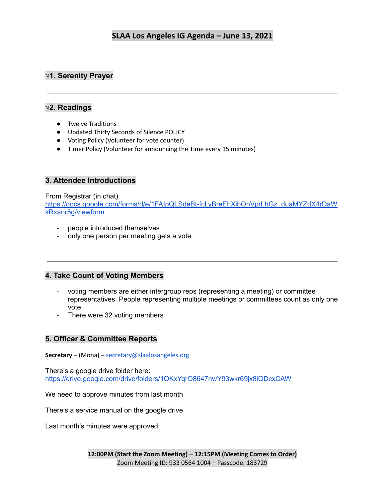# **√1. Serenity Prayer**

### **√2. Readings**

- Twelve Traditions
- Updated Thirty Seconds of Silence POLICY
- Voting Policy (Volunteer for vote counter)
- Timer Policy (Volunteer for announcing the Time every 15 minutes)

### **3. Attendee Introductions**

#### From Registrar (in chat)

[https://docs.google.com/forms/d/e/1FAIpQLSdeBt-fcLyBreEhXibOnVprLhGz\\_duaMYZdX4rDaW](https://docs.google.com/forms/d/e/1FAIpQLSdeBt-fcLyBreEhXibOnVprLhGz_duaMYZdX4rDaWkRxanr5g/viewform) [kRxanr5g/viewform](https://docs.google.com/forms/d/e/1FAIpQLSdeBt-fcLyBreEhXibOnVprLhGz_duaMYZdX4rDaWkRxanr5g/viewform)

- people introduced themselves
- only one person per meeting gets a vote

### **4. Take Count of Voting Members**

- voting members are either intergroup reps (representing a meeting) or committee representatives. People representing multiple meetings or committees count as only one vote.
- There were 32 voting members

## **5. Officer & Committee Reports**

**Secretary** – (Mona) – [secretary@slaalosangeles.org](mailto:secretary@slaalosangeles.org)

There's a google drive folder here: <https://drive.google.com/drive/folders/1QKxYqrO8647nwY93wkr69jx8iQDcxCAW>

We need to approve minutes from last month

There's a service manual on the google drive

Last month's minutes were approved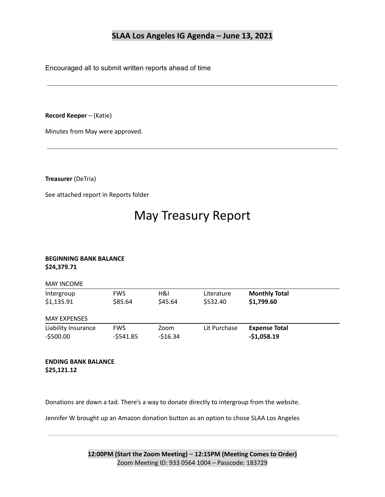Encouraged all to submit written reports ahead of time

**Record Keeper** – (Katie)

Minutes from May were approved.

**Treasurer** (DeTria)

See attached report in Reports folder

# May Treasury Report

#### **BEGINNING BANK BALANCE \$24,379.71**

| <b>MAY INCOME</b>                 |                          |                   |                        |                                      |  |
|-----------------------------------|--------------------------|-------------------|------------------------|--------------------------------------|--|
| Intergroup<br>\$1,135.91          | <b>FWS</b><br>\$85.64    | H&I<br>\$45.64    | Literature<br>\$532.40 | <b>Monthly Total</b><br>\$1,799.60   |  |
| <b>MAY EXPENSES</b>               |                          |                   |                        |                                      |  |
| Liability Insurance<br>$-5500.00$ | <b>FWS</b><br>$-5541.85$ | Zoom<br>$-516.34$ | Lit Purchase           | <b>Expense Total</b><br>$-$1,058.19$ |  |

**ENDING BANK BALANCE \$25,121.12**

Donations are down a tad. There's a way to donate directly to intergroup from the website.

Jennifer W brought up an Amazon donation button as an option to chose SLAA Los Angeles

**12:00PM (Start the Zoom Meeting)** – **12:15PM (Meeting Comes to Order)** Zoom Meeting ID: 933 0564 1004 – Passcode: 183729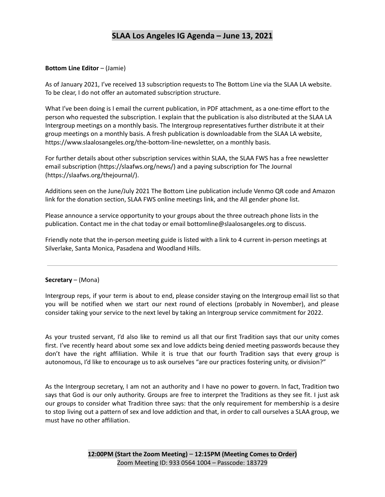#### **Bottom Line Editor** – (Jamie)

As of January 2021, I've received 13 subscription requests to The Bottom Line via the SLAA LA website. To be clear, I do not offer an automated subscription structure.

What I've been doing is I email the current publication, in PDF attachment, as a one-time effort to the person who requested the subscription. I explain that the publication is also distributed at the SLAA LA Intergroup meetings on a monthly basis. The Intergroup representatives further distribute it at their group meetings on a monthly basis. A fresh publication is downloadable from the SLAA LA website, https://www.slaalosangeles.org/the-bottom-line-newsletter, on a monthly basis.

For further details about other subscription services within SLAA, the SLAA FWS has a free newsletter email subscription (https://slaafws.org/news/) and a paying subscription for The Journal (https://slaafws.org/thejournal/).

Additions seen on the June/July 2021 The Bottom Line publication include Venmo QR code and Amazon link for the donation section, SLAA FWS online meetings link, and the All gender phone list.

Please announce a service opportunity to your groups about the three outreach phone lists in the publication. Contact me in the chat today or email bottomline@slaalosangeles.org to discuss.

Friendly note that the in-person meeting guide is listed with a link to 4 current in-person meetings at Silverlake, Santa Monica, Pasadena and Woodland Hills.

#### **Secretary** – (Mona)

Intergroup reps, if your term is about to end, please consider staying on the Intergroup email list so that you will be notified when we start our next round of elections (probably in November), and please consider taking your service to the next level by taking an Intergroup service commitment for 2022.

As your trusted servant, I'd also like to remind us all that our first Tradition says that our unity comes first. I've recently heard about some sex and love addicts being denied meeting passwords because they don't have the right affiliation. While it is true that our fourth Tradition says that every group is autonomous, I'd like to encourage us to ask ourselves "are our practices fostering unity, or division?"

As the Intergroup secretary, I am not an authority and I have no power to govern. In fact, Tradition two says that God is our only authority. Groups are free to interpret the Traditions as they see fit. I just ask our groups to consider what Tradition three says: that the only requirement for membership is a desire to stop living out a pattern of sex and love addiction and that, in order to call ourselves a SLAA group, we must have no other affiliation.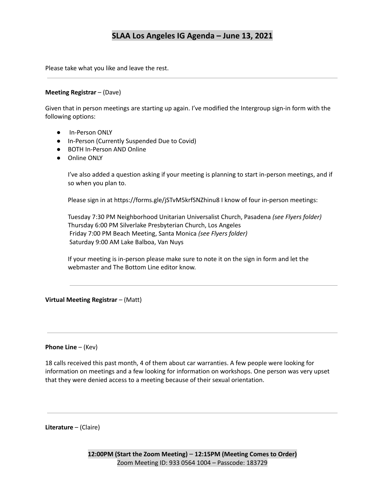Please take what you like and leave the rest.

#### **Meeting Registrar** – (Dave)

Given that in person meetings are starting up again. I've modified the Intergroup sign-in form with the following options:

- In-Person ONLY
- In-Person (Currently Suspended Due to Covid)
- BOTH In-Person AND Online
- Online ONLY

I've also added a question asking if your meeting is planning to start in-person meetings, and if so when you plan to.

Please sign in at https://forms.gle/jSTvM5krfSNZhinu8 I know of four in-person meetings:

Tuesday 7:30 PM Neighborhood Unitarian Universalist Church, Pasadena *(see Flyers folder)* Thursday 6:00 PM Silverlake Presbyterian Church, Los Angeles Friday 7:00 PM Beach Meeting, Santa Monica *(see Flyers folder)* Saturday 9:00 AM Lake Balboa, Van Nuys

If your meeting is in-person please make sure to note it on the sign in form and let the webmaster and The Bottom Line editor know.

#### **Virtual Meeting Registrar** – (Matt)

#### **Phone Line** – (Kev)

18 calls received this past month, 4 of them about car warranties. A few people were looking for information on meetings and a few looking for information on workshops. One person was very upset that they were denied access to a meeting because of their sexual orientation.

**Literature** – (Claire)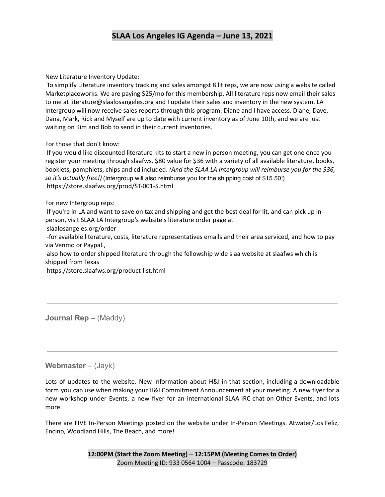New Literature Inventory Update:

To simplify Literature inventory tracking and sales amongst 8 lit reps, we are now using a website called Marketplaceworks. We are paying \$25/mo for this membership. All literature reps now email their sales to me at literature@slaalosangeles.org and I update their sales and inventory in the new system. LA Intergroup will now receive sales reports through this program. Diane and I have access. Diane, Dave, Dana, Mark, Rick and Myself are up to date with current inventory as of June 10th, and we are just waiting on Kim and Bob to send in their current inventories.

For those that don't know:

If you would like discounted literature kits to start a new in person meeting, you can get one once you register your meeting through slaafws. \$80 value for \$36 with a variety of all available literature, books, booklets, pamphlets, chips and cd included. *(And the SLAA LA Intergroup will reimburse you for the \$36, so it's actually free!)* (Intergroup will also reimburse you for the shipping cost of \$15.50!)https://store.slaafws.org/prod/ST-001-S.html

For new Intergroup reps:

If you're in LA and want to save on tax and shipping and get the best deal for lit, and can pick up inperson, visit SLAA LA Intergroup's website's literature order page at

slaalosangeles.org/order

-for available literature, costs, literature representatives emails and their area serviced, and how to pay via Venmo or Paypal.,

also how to order shipped literature through the fellowship wide slaa website at slaafws which is shipped from Texas

https://store.slaafws.org/product-list.html

**Journal Rep** – (Maddy)

**Webmaster** – (Jayk)

Lots of updates to the website. New information about H&I in that section, including a downloadable form you can use when making your H&I Commitment Announcement at your meeting. A new flyer for a new workshop under Events, a new flyer for an international SLAA IRC chat on Other Events, and lots more.

There are FIVE In-Person Meetings posted on the website under In-Person Meetings. Atwater/Los Feliz, Encino, Woodland Hills, The Beach, and more!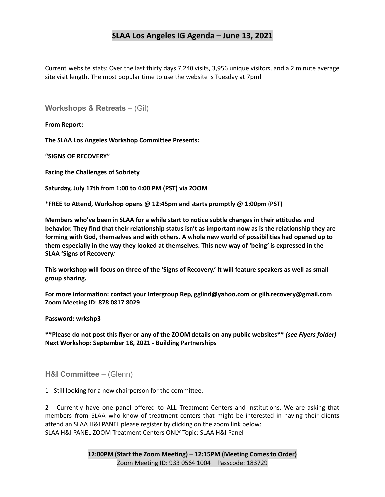Current website stats: Over the last thirty days 7,240 visits, 3,956 unique visitors, and a 2 minute average site visit length. The most popular time to use the website is Tuesday at 7pm!

**Workshops & Retreats** – (Gil)

**From Report:**

**The SLAA Los Angeles Workshop Committee Presents:**

**"SIGNS OF RECOVERY"**

**Facing the Challenges of Sobriety**

**Saturday, July 17th from 1:00 to 4:00 PM (PST) via ZOOM**

**\*FREE to Attend, Workshop opens @ 12:45pm and starts promptly @ 1:00pm (PST)**

**Members who've been in SLAA for a while start to notice subtle changes in their attitudes and behavior. They find that their relationship status isn't as important now as is the relationship they are forming with God, themselves and with others. A whole new world of possibilities had opened up to them especially in the way they looked at themselves. This new way of 'being' is expressed in the SLAA 'Signs of Recovery.'**

This workshop will focus on three of the 'Signs of Recovery.' It will feature speakers as well as small **group sharing.**

**For more information: contact your Intergroup Rep, gglind@yahoo.com or gilh.recovery@gmail.com Zoom Meeting ID: 878 0817 8029**

**Password: wrkshp3**

\*\*Please do not post this flyer or any of the ZOOM details on any public websites\*\* (see Flyers folder) **Next Workshop: September 18, 2021 - Building Partnerships**

**H&I Committee** – (Glenn)

1 - Still looking for a new chairperson for the committee.

2 - Currently have one panel offered to ALL Treatment Centers and Institutions. We are asking that members from SLAA who know of treatment centers that might be interested in having their clients attend an SLAA H&I PANEL please register by clicking on the zoom link below: SLAA H&I PANEL ZOOM Treatment Centers ONLY Topic: SLAA H&I Panel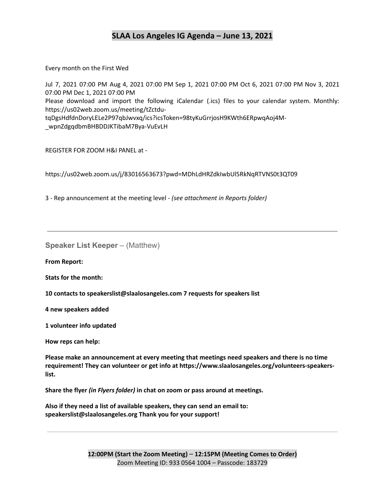Every month on the First Wed

Jul 7, 2021 07:00 PM Aug 4, 2021 07:00 PM Sep 1, 2021 07:00 PM Oct 6, 2021 07:00 PM Nov 3, 2021 07:00 PM Dec 1, 2021 07:00 PM Please download and import the following iCalendar (.ics) files to your calendar system. Monthly: https://us02web.zoom.us/meeting/tZctdutqDgsHdfdnDoryLELe2P97qbJwvxq/ics?icsToken=98tyKuGrrjosH9KWth6ERpwqAoj4M- \_wpnZdgqdbmBHBDDJKTibaM7Bya-VuEvLH

REGISTER FOR ZOOM H&I PANEL at -

https://us02web.zoom.us/j/83016563673?pwd=MDhLdHRZdkIwbUl5RkNqRTVNS0t3QT09

3 - Rep announcement at the meeting level - *(see attachment in Reports folder)*

**Speaker List Keeper** – (Matthew)

**From Report:**

**Stats for the month:**

**10 contacts to speakerslist@slaalosangeles.com 7 requests for speakers list**

**4 new speakers added**

**1 volunteer info updated**

**How reps can help:**

**Please make an announcement at every meeting that meetings need speakers and there is no time requirement! They can volunteer or get info at https://www.slaalosangeles.org/volunteers-speakerslist.**

**Share the flyer** *(in Flyers folder)* **in chat on zoom or pass around at meetings.**

**Also if they need a list of available speakers, they can send an email to: speakerslist@slaalosangeles.org Thank you for your support!**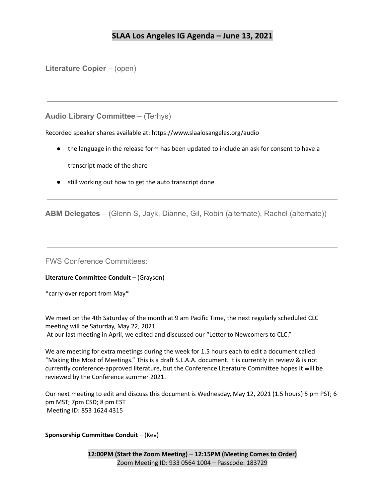**Literature Copier** – (open)

**Audio Library Committee** – (Terhys)

Recorded speaker shares available at: https://www.slaalosangeles.org/audio

- the language in the release form has been updated to include an ask for consent to have a transcript made of the share
- still working out how to get the auto transcript done

**ABM Delegates** – (Glenn S, Jayk, Dianne, Gil, Robin (alternate), Rachel (alternate))

FWS Conference Committees:

**Literature Committee Conduit** – (Grayson)

\*carry-over report from May\*

We meet on the 4th Saturday of the month at 9 am Pacific Time, the next regularly scheduled CLC meeting will be Saturday, May 22, 2021.

At our last meeting in April, we edited and discussed our "Letter to Newcomers to CLC."

We are meeting for extra meetings during the week for 1.5 hours each to edit a document called "Making the Most of Meetings." This is a draft S.L.A.A. document. It is currently in review & is not currently conference-approved literature, but the Conference Literature Committee hopes it will be reviewed by the Conference summer 2021.

Our next meeting to edit and discuss this document is Wednesday, May 12, 2021 (1.5 hours) 5 pm PST; 6 pm MST; 7pm CSD; 8 pm EST Meeting ID: 853 1624 4315

**Sponsorship Committee Conduit** – (Kev)

**12:00PM (Start the Zoom Meeting)** – **12:15PM (Meeting Comes to Order)** Zoom Meeting ID: 933 0564 1004 – Passcode: 183729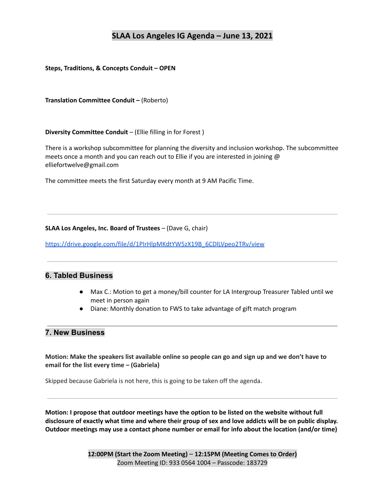**Steps, Traditions, & Concepts Conduit – OPEN**

**Translation Committee Conduit –** (Roberto)

**Diversity Committee Conduit** – (Ellie filling in for Forest )

There is a workshop subcommittee for planning the diversity and inclusion workshop. The subcommittee meets once a month and you can reach out to Ellie if you are interested in joining @ elliefortwelve@gmail.com

The committee meets the first Saturday every month at 9 AM Pacific Time.

#### **SLAA Los Angeles, Inc. Board of Trustees** – (Dave G, chair)

[https://drive.google.com/file/d/1PIrHlpMKdtYW5zX19B\\_6CDlLVpeo2TRv/view](https://drive.google.com/file/d/1PIrHlpMKdtYW5zX19B_6CDlLVpeo2TRv/view)

### **6. Tabled Business**

- Max C.: Motion to get a money/bill counter for LA Intergroup Treasurer Tabled until we meet in person again
- Diane: Monthly donation to FWS to take advantage of gift match program

### **7. New Business**

Motion: Make the speakers list available online so people can go and sign up and we don't have to **email for the list every time – (Gabriela)**

Skipped because Gabriela is not here, this is going to be taken off the agenda.

**Motion: I propose that outdoor meetings have the option to be listed on the website without full** disclosure of exactly what time and where their group of sex and love addicts will be on public display. **Outdoor meetings may use a contact phone number or email for info about the location (and/or time)**

> **12:00PM (Start the Zoom Meeting)** – **12:15PM (Meeting Comes to Order)** Zoom Meeting ID: 933 0564 1004 – Passcode: 183729